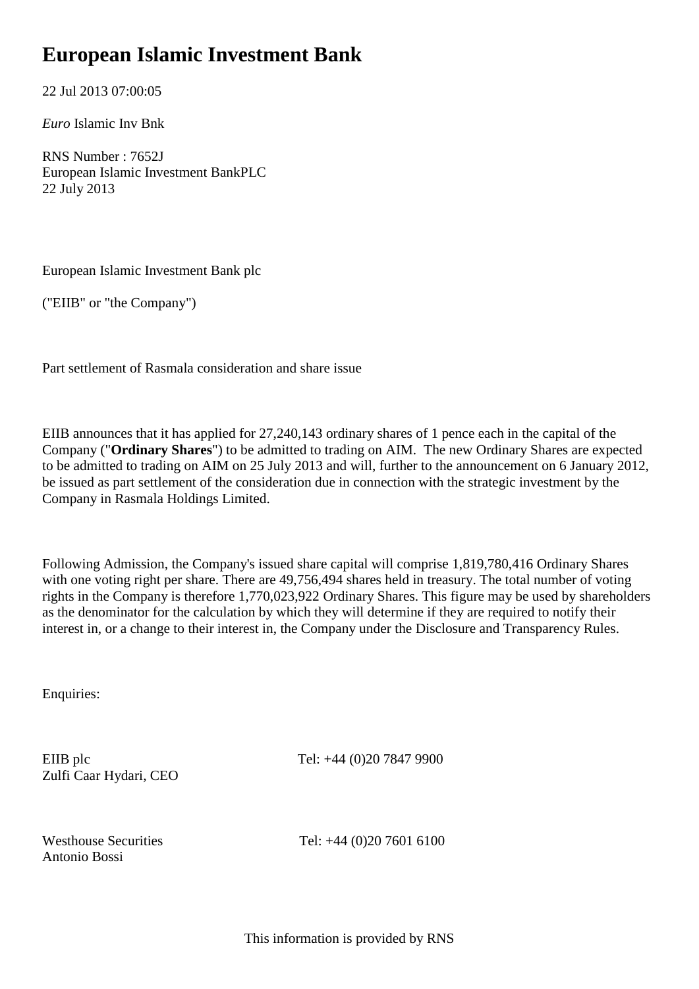## **European Islamic Investment Bank**

22 Jul 2013 07:00:05

*Euro* Islamic Inv Bnk

RNS Number : 7652J European Islamic Investment BankPLC 22 July 2013

European Islamic Investment Bank plc

("EIIB" or "the Company")

Part settlement of Rasmala consideration and share issue

EIIB announces that it has applied for 27,240,143 ordinary shares of 1 pence each in the capital of the Company ("**Ordinary Shares**") to be admitted to trading on AIM. The new Ordinary Shares are expected to be admitted to trading on AIM on 25 July 2013 and will, further to the announcement on 6 January 2012, be issued as part settlement of the consideration due in connection with the strategic investment by the Company in Rasmala Holdings Limited.

Following Admission, the Company's issued share capital will comprise 1,819,780,416 Ordinary Shares with one voting right per share. There are 49,756,494 shares held in treasury. The total number of voting rights in the Company is therefore 1,770,023,922 Ordinary Shares. This figure may be used by shareholders as the denominator for the calculation by which they will determine if they are required to notify their interest in, or a change to their interest in, the Company under the Disclosure and Transparency Rules.

Enquiries:

Zulfi Caar Hydari, CEO

EIIB plc Tel: +44 (0)20 7847 9900

Antonio Bossi

Westhouse Securities Tel: +44 (0)20 7601 6100